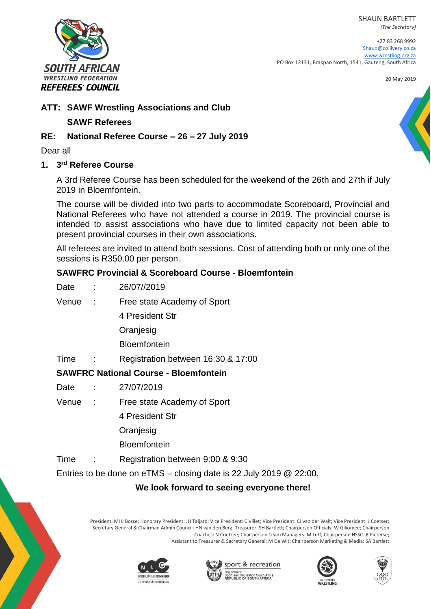SHAUN BARTLETT

*(The Secretary)*

+27 83 268 9992 [Shaun@collivery.co.za](mailto:Shaun@collivery.co.za) [www.wrestling.org.za](http://www.wrestling.org.za/) PO Box 12131, Brakpan North, 1541, Gauteng, South Africa

20 May 2019



# **ATT: SAWF Wrestling Associations and Club**

#### **SAWF Referees**

## **RE: National Referee Course – 26 – 27 July 2019**

Dear all

#### **1. 3 rd Referee Course**

A 3rd Referee Course has been scheduled for the weekend of the 26th and 27th if July 2019 in Bloemfontein.

The course will be divided into two parts to accommodate Scoreboard, Provincial and National Referees who have not attended a course in 2019. The provincial course is intended to assist associations who have due to limited capacity not been able to present provincial courses in their own associations.

All referees are invited to attend both sessions. Cost of attending both or only one of the sessions is R350.00 per person.

### **SAWFRC Provincial & Scoreboard Course - Bloemfontein**

| Date  | ÷.         | 26/07//2019                 |
|-------|------------|-----------------------------|
| Venue | $\sim 100$ | Free state Academy of Sport |
|       |            | 4 President Str             |
|       |            | Oranjesig                   |
|       |            | <b>Bloemfontein</b>         |
|       |            |                             |

#### Time : Registration between 16:30 & 17:00

# **SAWFRC National Course - Bloemfontein**

- Date : 27/07/2019
- Venue : Free state Academy of Sport

4 President Str

Oranjesig

**Bloemfontein** 

Time : Registration between 9:00 & 9:30

Entries to be done on eTMS – closing date is 22 July 2019 @ 22:00.

# **We look forward to seeing everyone there!**

President: MHJ Bosse; Honorary President: JH Taljard; Vice President: C Villet; Vice President: CJ van der Walt; Vice President: J Coetser; Secretary General & Chairman Admin Council: HN van den Berg; Treasurer: SH Bartlett; Chairperson Officials: W Giliomee; Chairperson Coaches: N Coetzee; Chairperson Team Managers: M Luff; Chairperson HSSC: R Pieterse; Assistant to Treasurer & Secretary General: M De Wit; Chairperson Marketing & Media: SA Bartlett